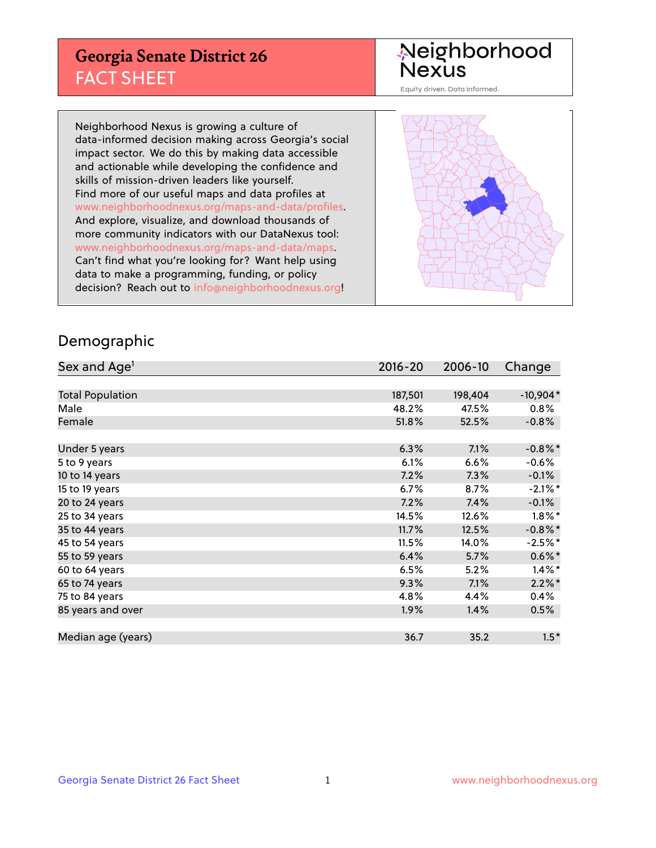## **Georgia Senate District 26** FACT SHEET

# Neighborhood<br>Nexus

Equity driven. Data informed.

Neighborhood Nexus is growing a culture of data-informed decision making across Georgia's social impact sector. We do this by making data accessible and actionable while developing the confidence and skills of mission-driven leaders like yourself. Find more of our useful maps and data profiles at www.neighborhoodnexus.org/maps-and-data/profiles. And explore, visualize, and download thousands of more community indicators with our DataNexus tool: www.neighborhoodnexus.org/maps-and-data/maps. Can't find what you're looking for? Want help using data to make a programming, funding, or policy decision? Reach out to [info@neighborhoodnexus.org!](mailto:info@neighborhoodnexus.org)



### Demographic

| Sex and Age <sup>1</sup> | $2016 - 20$ | 2006-10 | Change               |
|--------------------------|-------------|---------|----------------------|
|                          |             |         |                      |
| <b>Total Population</b>  | 187,501     | 198,404 | $-10,904*$           |
| Male                     | 48.2%       | 47.5%   | $0.8\%$              |
| Female                   | 51.8%       | 52.5%   | $-0.8%$              |
|                          |             |         |                      |
| Under 5 years            | 6.3%        | 7.1%    | $-0.8\%$ *           |
| 5 to 9 years             | 6.1%        | 6.6%    | $-0.6%$              |
| 10 to 14 years           | 7.2%        | 7.3%    | $-0.1%$              |
| 15 to 19 years           | 6.7%        | 8.7%    | $-2.1\%$ *           |
| 20 to 24 years           | 7.2%        | 7.4%    | $-0.1%$              |
| 25 to 34 years           | 14.5%       | 12.6%   | $1.8\%$ *            |
| 35 to 44 years           | 11.7%       | 12.5%   | $-0.8\%$ *           |
| 45 to 54 years           | 11.5%       | 14.0%   | $-2.5%$ *            |
| 55 to 59 years           | 6.4%        | 5.7%    | $0.6\%$ *            |
| 60 to 64 years           | 6.5%        | 5.2%    | $1.4\%$ <sup>*</sup> |
| 65 to 74 years           | 9.3%        | 7.1%    | $2.2\%$ *            |
| 75 to 84 years           | 4.8%        | 4.4%    | 0.4%                 |
| 85 years and over        | 1.9%        | 1.4%    | 0.5%                 |
|                          |             |         |                      |
| Median age (years)       | 36.7        | 35.2    | $1.5*$               |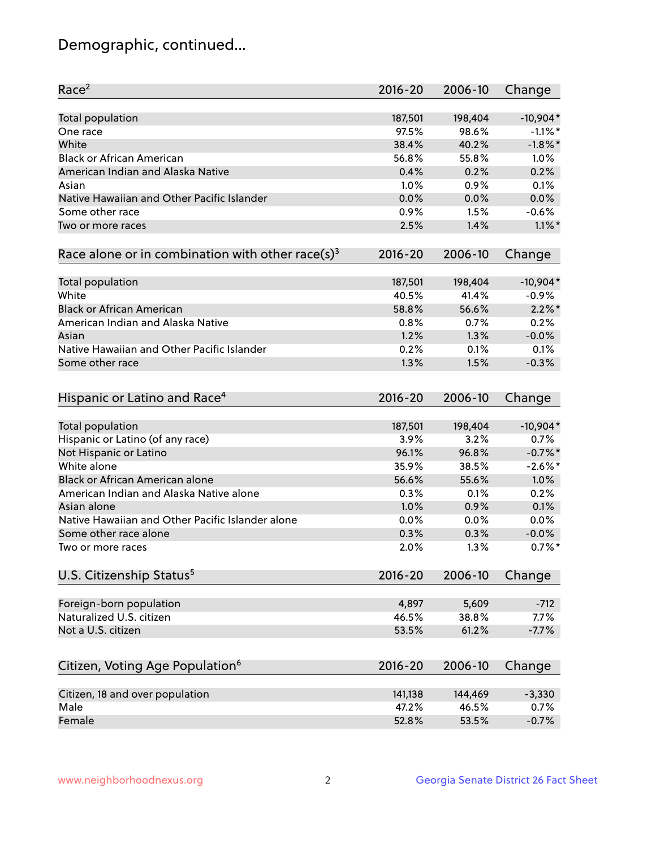## Demographic, continued...

| Race <sup>2</sup>                                            | $2016 - 20$ | 2006-10 | Change     |
|--------------------------------------------------------------|-------------|---------|------------|
| Total population                                             | 187,501     | 198,404 | $-10,904*$ |
| One race                                                     | 97.5%       | 98.6%   | $-1.1\%$ * |
| White                                                        | 38.4%       | 40.2%   | $-1.8\%$ * |
| <b>Black or African American</b>                             | 56.8%       | 55.8%   | 1.0%       |
| American Indian and Alaska Native                            | 0.4%        | 0.2%    | 0.2%       |
| Asian                                                        | 1.0%        | 0.9%    | 0.1%       |
| Native Hawaiian and Other Pacific Islander                   | 0.0%        | 0.0%    | 0.0%       |
| Some other race                                              | 0.9%        | 1.5%    | $-0.6%$    |
| Two or more races                                            | 2.5%        | 1.4%    | $1.1\%$ *  |
| Race alone or in combination with other race(s) <sup>3</sup> | $2016 - 20$ | 2006-10 | Change     |
| Total population                                             | 187,501     | 198,404 | $-10,904*$ |
| White                                                        | 40.5%       | 41.4%   | $-0.9%$    |
| <b>Black or African American</b>                             | 58.8%       | 56.6%   | $2.2\%$ *  |
| American Indian and Alaska Native                            | 0.8%        | 0.7%    | 0.2%       |
| Asian                                                        | 1.2%        | 1.3%    | $-0.0%$    |
| Native Hawaiian and Other Pacific Islander                   | 0.2%        | 0.1%    | 0.1%       |
| Some other race                                              | 1.3%        | 1.5%    | $-0.3%$    |
| Hispanic or Latino and Race <sup>4</sup>                     | $2016 - 20$ | 2006-10 | Change     |
| <b>Total population</b>                                      | 187,501     | 198,404 | $-10,904*$ |
| Hispanic or Latino (of any race)                             | 3.9%        | 3.2%    | 0.7%       |
| Not Hispanic or Latino                                       | 96.1%       | 96.8%   | $-0.7%$ *  |
| White alone                                                  | 35.9%       | 38.5%   | $-2.6\%$ * |
| <b>Black or African American alone</b>                       | 56.6%       | 55.6%   | 1.0%       |
| American Indian and Alaska Native alone                      | 0.3%        | 0.1%    | 0.2%       |
| Asian alone                                                  | 1.0%        | 0.9%    | 0.1%       |
| Native Hawaiian and Other Pacific Islander alone             | 0.0%        | 0.0%    | 0.0%       |
| Some other race alone                                        | 0.3%        | 0.3%    | $-0.0%$    |
| Two or more races                                            | 2.0%        | 1.3%    | $0.7%$ *   |
| U.S. Citizenship Status <sup>5</sup>                         | $2016 - 20$ | 2006-10 | Change     |
|                                                              | 4,897       | 5,609   | $-712$     |
| Foreign-born population<br>Naturalized U.S. citizen          | 46.5%       | 38.8%   | 7.7%       |
| Not a U.S. citizen                                           | 53.5%       | 61.2%   | $-7.7%$    |
|                                                              |             |         |            |
| Citizen, Voting Age Population <sup>6</sup>                  | $2016 - 20$ | 2006-10 | Change     |
| Citizen, 18 and over population                              | 141,138     | 144,469 | $-3,330$   |
| Male                                                         | 47.2%       | 46.5%   | 0.7%       |
| Female                                                       | 52.8%       | 53.5%   | $-0.7%$    |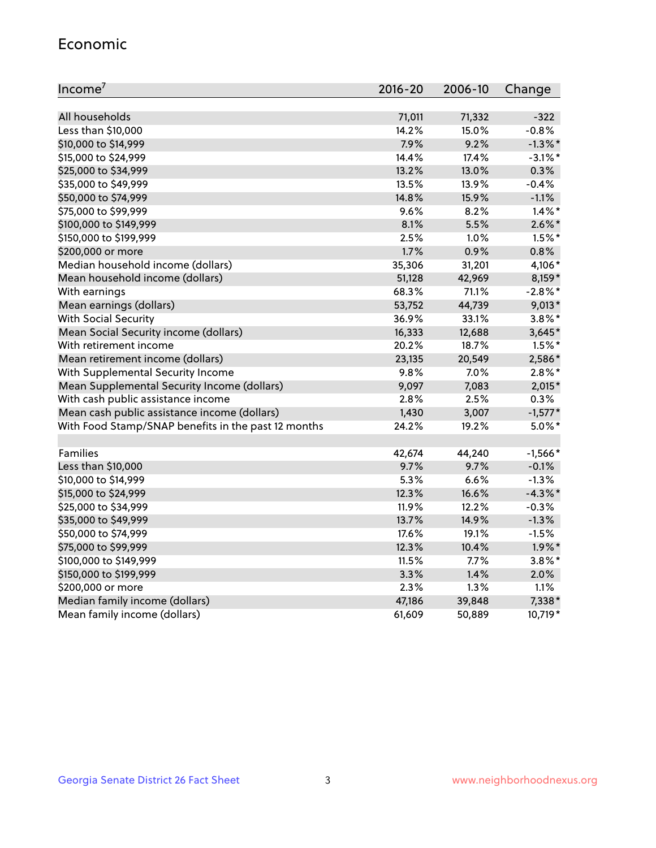#### Economic

| Income <sup>7</sup>                                 | 2016-20 | 2006-10 | Change     |
|-----------------------------------------------------|---------|---------|------------|
|                                                     |         |         |            |
| All households                                      | 71,011  | 71,332  | $-322$     |
| Less than \$10,000                                  | 14.2%   | 15.0%   | $-0.8%$    |
| \$10,000 to \$14,999                                | 7.9%    | 9.2%    | $-1.3\%$ * |
| \$15,000 to \$24,999                                | 14.4%   | 17.4%   | $-3.1\%$ * |
| \$25,000 to \$34,999                                | 13.2%   | 13.0%   | 0.3%       |
| \$35,000 to \$49,999                                | 13.5%   | 13.9%   | $-0.4%$    |
| \$50,000 to \$74,999                                | 14.8%   | 15.9%   | $-1.1%$    |
| \$75,000 to \$99,999                                | 9.6%    | 8.2%    | $1.4\%$ *  |
| \$100,000 to \$149,999                              | 8.1%    | 5.5%    | $2.6\%$ *  |
| \$150,000 to \$199,999                              | 2.5%    | 1.0%    | $1.5%$ *   |
| \$200,000 or more                                   | 1.7%    | 0.9%    | 0.8%       |
| Median household income (dollars)                   | 35,306  | 31,201  | 4,106*     |
| Mean household income (dollars)                     | 51,128  | 42,969  | 8,159*     |
| With earnings                                       | 68.3%   | 71.1%   | $-2.8%$ *  |
| Mean earnings (dollars)                             | 53,752  | 44,739  | $9,013*$   |
| <b>With Social Security</b>                         | 36.9%   | 33.1%   | $3.8\%$ *  |
| Mean Social Security income (dollars)               | 16,333  | 12,688  | $3,645*$   |
| With retirement income                              | 20.2%   | 18.7%   | $1.5\%$ *  |
| Mean retirement income (dollars)                    | 23,135  | 20,549  | 2,586*     |
| With Supplemental Security Income                   | 9.8%    | 7.0%    | $2.8\%$ *  |
| Mean Supplemental Security Income (dollars)         | 9,097   | 7,083   | $2,015*$   |
| With cash public assistance income                  | 2.8%    | 2.5%    | 0.3%       |
| Mean cash public assistance income (dollars)        | 1,430   | 3,007   | $-1,577*$  |
| With Food Stamp/SNAP benefits in the past 12 months | 24.2%   | 19.2%   | $5.0\%$ *  |
|                                                     |         |         |            |
| Families                                            | 42,674  | 44,240  | $-1,566*$  |
| Less than \$10,000                                  | 9.7%    | 9.7%    | $-0.1%$    |
| \$10,000 to \$14,999                                | 5.3%    | 6.6%    | $-1.3%$    |
| \$15,000 to \$24,999                                | 12.3%   | 16.6%   | $-4.3\%$ * |
| \$25,000 to \$34,999                                | 11.9%   | 12.2%   | $-0.3%$    |
| \$35,000 to \$49,999                                | 13.7%   | 14.9%   | $-1.3%$    |
| \$50,000 to \$74,999                                | 17.6%   | 19.1%   | $-1.5%$    |
| \$75,000 to \$99,999                                | 12.3%   | 10.4%   | $1.9\%$ *  |
| \$100,000 to \$149,999                              | 11.5%   | $7.7\%$ | $3.8\%$ *  |
| \$150,000 to \$199,999                              | 3.3%    | 1.4%    | 2.0%       |
| \$200,000 or more                                   | 2.3%    | 1.3%    | 1.1%       |
| Median family income (dollars)                      | 47,186  | 39,848  | 7,338*     |
| Mean family income (dollars)                        | 61,609  | 50,889  | 10,719*    |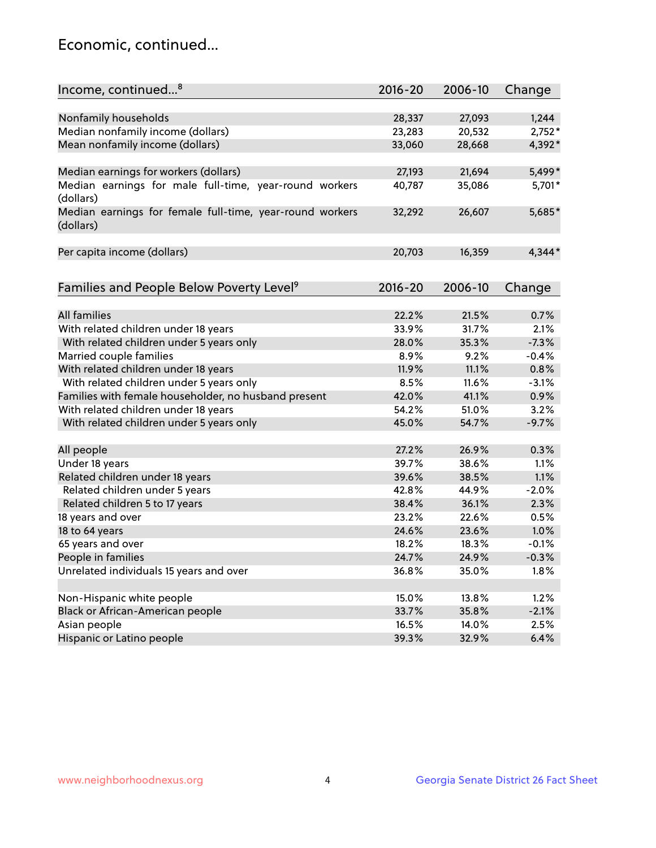## Economic, continued...

| Income, continued <sup>8</sup>                                        | $2016 - 20$ | 2006-10 | Change   |
|-----------------------------------------------------------------------|-------------|---------|----------|
|                                                                       |             |         |          |
| Nonfamily households                                                  | 28,337      | 27,093  | 1,244    |
| Median nonfamily income (dollars)                                     | 23,283      | 20,532  | $2,752*$ |
| Mean nonfamily income (dollars)                                       | 33,060      | 28,668  | 4,392*   |
| Median earnings for workers (dollars)                                 | 27,193      | 21,694  | 5,499*   |
| Median earnings for male full-time, year-round workers                | 40,787      | 35,086  | 5,701*   |
| (dollars)                                                             |             |         |          |
| Median earnings for female full-time, year-round workers<br>(dollars) | 32,292      | 26,607  | 5,685*   |
| Per capita income (dollars)                                           | 20,703      | 16,359  | $4,344*$ |
|                                                                       |             |         |          |
| Families and People Below Poverty Level <sup>9</sup>                  | 2016-20     | 2006-10 | Change   |
|                                                                       |             |         |          |
| <b>All families</b>                                                   | 22.2%       | 21.5%   | 0.7%     |
| With related children under 18 years                                  | 33.9%       | 31.7%   | 2.1%     |
| With related children under 5 years only                              | 28.0%       | 35.3%   | $-7.3%$  |
| Married couple families                                               | 8.9%        | 9.2%    | $-0.4%$  |
| With related children under 18 years                                  | 11.9%       | 11.1%   | 0.8%     |
| With related children under 5 years only                              | 8.5%        | 11.6%   | $-3.1%$  |
| Families with female householder, no husband present                  | 42.0%       | 41.1%   | 0.9%     |
| With related children under 18 years                                  | 54.2%       | 51.0%   | 3.2%     |
| With related children under 5 years only                              | 45.0%       | 54.7%   | $-9.7%$  |
|                                                                       |             |         |          |
| All people                                                            | 27.2%       | 26.9%   | 0.3%     |
| Under 18 years                                                        | 39.7%       | 38.6%   | 1.1%     |
| Related children under 18 years                                       | 39.6%       | 38.5%   | 1.1%     |
| Related children under 5 years                                        | 42.8%       | 44.9%   | $-2.0%$  |
| Related children 5 to 17 years                                        | 38.4%       | 36.1%   | 2.3%     |
| 18 years and over                                                     | 23.2%       | 22.6%   | 0.5%     |
| 18 to 64 years                                                        | 24.6%       | 23.6%   | 1.0%     |
| 65 years and over                                                     | 18.2%       | 18.3%   | $-0.1%$  |
| People in families                                                    | 24.7%       | 24.9%   | $-0.3%$  |
| Unrelated individuals 15 years and over                               | 36.8%       | 35.0%   | 1.8%     |
|                                                                       |             |         |          |
| Non-Hispanic white people                                             | 15.0%       | 13.8%   | 1.2%     |
| Black or African-American people                                      | 33.7%       | 35.8%   | $-2.1%$  |
| Asian people                                                          | 16.5%       | 14.0%   | 2.5%     |
| Hispanic or Latino people                                             | 39.3%       | 32.9%   | 6.4%     |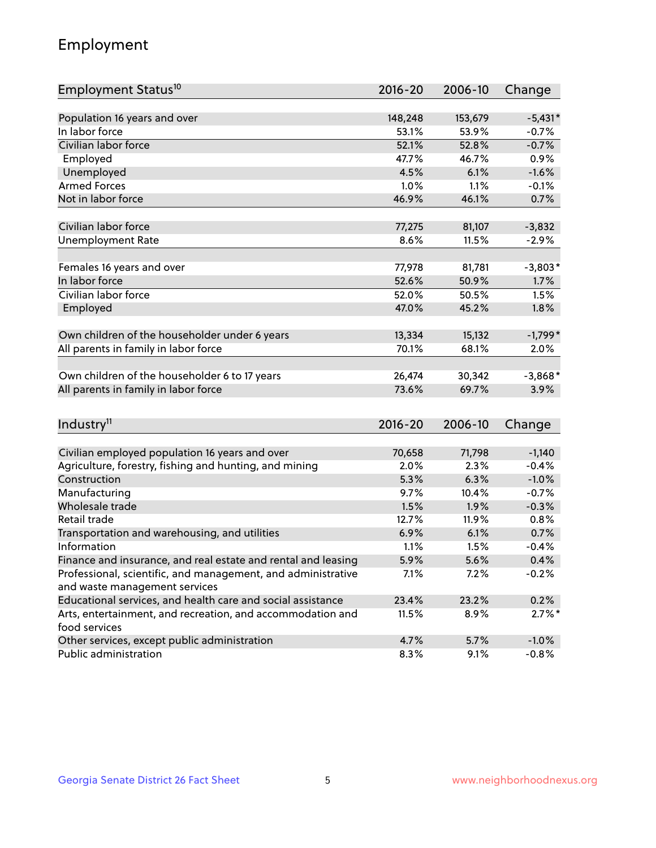## Employment

| Employment Status <sup>10</sup>                               | $2016 - 20$     | 2006-10 | Change    |
|---------------------------------------------------------------|-----------------|---------|-----------|
|                                                               |                 |         |           |
| Population 16 years and over                                  | 148,248         | 153,679 | $-5,431*$ |
| In labor force                                                | 53.1%           | 53.9%   | $-0.7%$   |
| Civilian labor force                                          | 52.1%           | 52.8%   | $-0.7%$   |
| Employed                                                      | 47.7%           | 46.7%   | 0.9%      |
| Unemployed                                                    | 4.5%            | 6.1%    | $-1.6%$   |
| <b>Armed Forces</b>                                           | 1.0%            | 1.1%    | $-0.1%$   |
| Not in labor force                                            | 46.9%           | 46.1%   | 0.7%      |
|                                                               |                 |         |           |
| Civilian labor force                                          | 77,275          | 81,107  | $-3,832$  |
| <b>Unemployment Rate</b>                                      | 8.6%            | 11.5%   | $-2.9%$   |
| Females 16 years and over                                     | 77,978          | 81,781  | $-3,803*$ |
| In labor force                                                | 52.6%           | 50.9%   | 1.7%      |
| Civilian labor force                                          | 52.0%           | 50.5%   | 1.5%      |
| Employed                                                      | 47.0%           | 45.2%   | 1.8%      |
|                                                               |                 |         |           |
| Own children of the householder under 6 years                 | 13,334          | 15,132  | $-1,799*$ |
| All parents in family in labor force                          | 70.1%           | 68.1%   | 2.0%      |
|                                                               |                 |         |           |
| Own children of the householder 6 to 17 years                 | 26,474<br>73.6% | 30,342  | $-3,868*$ |
| All parents in family in labor force                          |                 | 69.7%   | 3.9%      |
|                                                               |                 |         |           |
| Industry <sup>11</sup>                                        | $2016 - 20$     | 2006-10 | Change    |
| Civilian employed population 16 years and over                | 70,658          | 71,798  | $-1,140$  |
| Agriculture, forestry, fishing and hunting, and mining        | 2.0%            | 2.3%    | $-0.4%$   |
| Construction                                                  | 5.3%            | 6.3%    | $-1.0%$   |
| Manufacturing                                                 | 9.7%            | 10.4%   | $-0.7%$   |
| Wholesale trade                                               | 1.5%            | 1.9%    | $-0.3%$   |
| Retail trade                                                  | 12.7%           | 11.9%   | 0.8%      |
| Transportation and warehousing, and utilities                 | 6.9%            | 6.1%    | 0.7%      |
| Information                                                   | 1.1%            | 1.5%    | $-0.4%$   |
| Finance and insurance, and real estate and rental and leasing | 5.9%            | 5.6%    | 0.4%      |
| Professional, scientific, and management, and administrative  | 7.1%            | 7.2%    | $-0.2%$   |
| and waste management services                                 |                 |         |           |
| Educational services, and health care and social assistance   | 23.4%           | 23.2%   | 0.2%      |
| Arts, entertainment, and recreation, and accommodation and    | 11.5%           | 8.9%    | $2.7\%$ * |
| food services                                                 |                 |         |           |
| Other services, except public administration                  | 4.7%            | 5.7%    | $-1.0%$   |
| Public administration                                         | 8.3%            | 9.1%    | $-0.8%$   |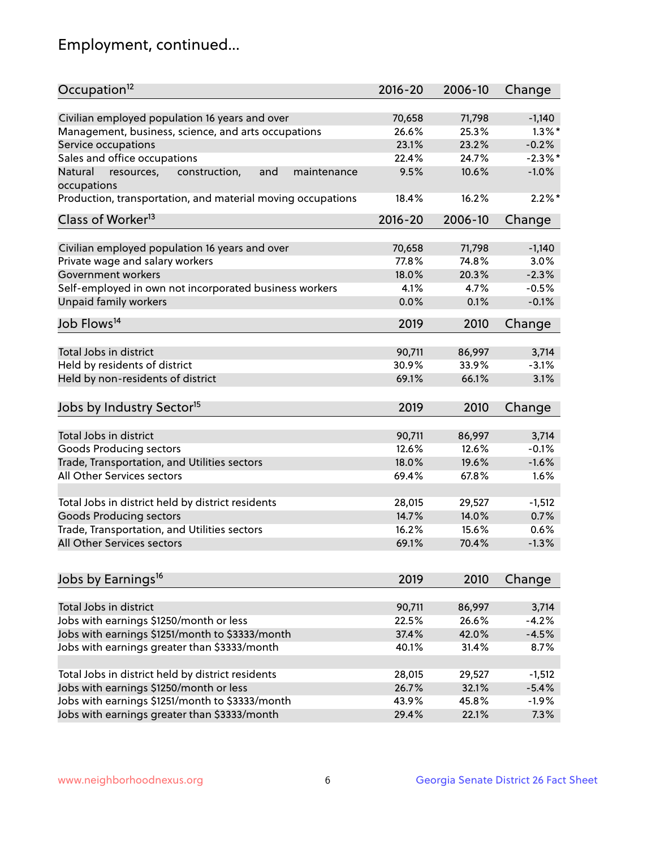## Employment, continued...

| Occupation <sup>12</sup>                                                    | $2016 - 20$ | 2006-10 | Change     |
|-----------------------------------------------------------------------------|-------------|---------|------------|
| Civilian employed population 16 years and over                              |             |         |            |
|                                                                             | 70,658      | 71,798  | $-1,140$   |
| Management, business, science, and arts occupations                         | 26.6%       | 25.3%   | $1.3\%$ *  |
| Service occupations                                                         | 23.1%       | 23.2%   | $-0.2%$    |
| Sales and office occupations                                                | 22.4%       | 24.7%   | $-2.3\%$ * |
| Natural<br>and<br>resources,<br>construction,<br>maintenance<br>occupations | 9.5%        | 10.6%   | $-1.0%$    |
| Production, transportation, and material moving occupations                 | 18.4%       | 16.2%   | $2.2\%$ *  |
| Class of Worker <sup>13</sup>                                               | $2016 - 20$ | 2006-10 | Change     |
|                                                                             |             |         |            |
| Civilian employed population 16 years and over                              | 70,658      | 71,798  | $-1,140$   |
| Private wage and salary workers                                             | 77.8%       | 74.8%   | 3.0%       |
| Government workers                                                          | 18.0%       | 20.3%   | $-2.3%$    |
| Self-employed in own not incorporated business workers                      | 4.1%        | 4.7%    | $-0.5%$    |
| Unpaid family workers                                                       | 0.0%        | 0.1%    | $-0.1%$    |
| Job Flows <sup>14</sup>                                                     | 2019        | 2010    | Change     |
|                                                                             |             |         |            |
| Total Jobs in district                                                      | 90,711      | 86,997  | 3,714      |
| Held by residents of district                                               | 30.9%       | 33.9%   | $-3.1%$    |
| Held by non-residents of district                                           | 69.1%       | 66.1%   | 3.1%       |
| Jobs by Industry Sector <sup>15</sup>                                       | 2019        | 2010    | Change     |
|                                                                             |             |         |            |
| Total Jobs in district                                                      | 90,711      | 86,997  | 3,714      |
| <b>Goods Producing sectors</b>                                              | 12.6%       | 12.6%   | $-0.1%$    |
| Trade, Transportation, and Utilities sectors                                | 18.0%       | 19.6%   | $-1.6%$    |
| All Other Services sectors                                                  | 69.4%       | 67.8%   | 1.6%       |
| Total Jobs in district held by district residents                           | 28,015      | 29,527  | $-1,512$   |
| <b>Goods Producing sectors</b>                                              | 14.7%       | 14.0%   | 0.7%       |
| Trade, Transportation, and Utilities sectors                                | 16.2%       | 15.6%   | 0.6%       |
| All Other Services sectors                                                  | 69.1%       | 70.4%   | $-1.3%$    |
|                                                                             |             |         |            |
| Jobs by Earnings <sup>16</sup>                                              | 2019        | 2010    | Change     |
|                                                                             |             |         |            |
| Total Jobs in district                                                      | 90,711      | 86,997  | 3,714      |
| Jobs with earnings \$1250/month or less                                     | 22.5%       | 26.6%   | $-4.2%$    |
| Jobs with earnings \$1251/month to \$3333/month                             | 37.4%       | 42.0%   | $-4.5%$    |
| Jobs with earnings greater than \$3333/month                                | 40.1%       | 31.4%   | 8.7%       |
| Total Jobs in district held by district residents                           | 28,015      | 29,527  | $-1,512$   |
| Jobs with earnings \$1250/month or less                                     | 26.7%       | 32.1%   | $-5.4%$    |
| Jobs with earnings \$1251/month to \$3333/month                             | 43.9%       | 45.8%   | $-1.9%$    |
| Jobs with earnings greater than \$3333/month                                | 29.4%       | 22.1%   | 7.3%       |
|                                                                             |             |         |            |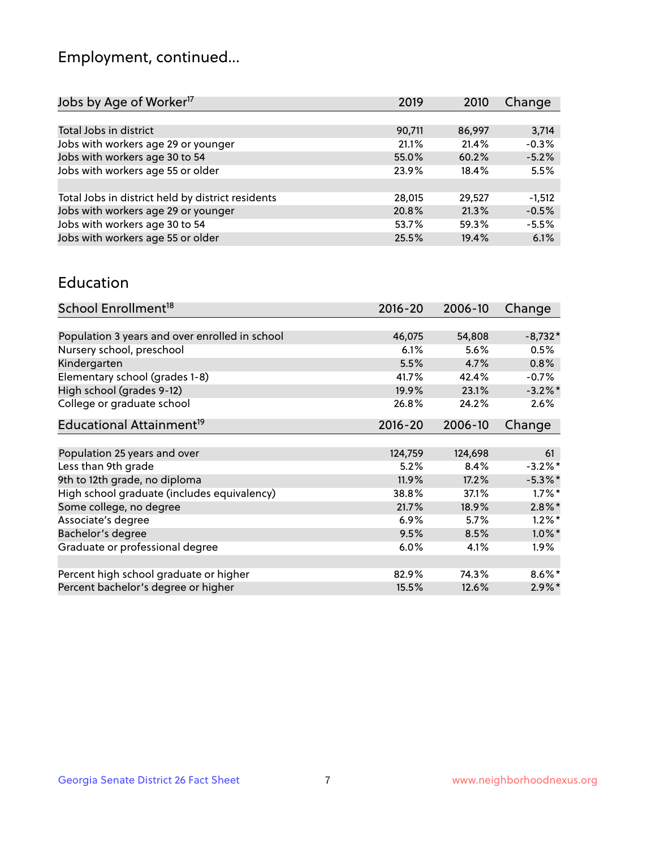## Employment, continued...

| Jobs by Age of Worker <sup>17</sup>               | 2019   | 2010   | Change   |
|---------------------------------------------------|--------|--------|----------|
|                                                   |        |        |          |
| Total Jobs in district                            | 90,711 | 86,997 | 3,714    |
| Jobs with workers age 29 or younger               | 21.1%  | 21.4%  | $-0.3%$  |
| Jobs with workers age 30 to 54                    | 55.0%  | 60.2%  | $-5.2%$  |
| Jobs with workers age 55 or older                 | 23.9%  | 18.4%  | 5.5%     |
|                                                   |        |        |          |
| Total Jobs in district held by district residents | 28,015 | 29,527 | $-1,512$ |
| Jobs with workers age 29 or younger               | 20.8%  | 21.3%  | $-0.5%$  |
| Jobs with workers age 30 to 54                    | 53.7%  | 59.3%  | $-5.5%$  |
| Jobs with workers age 55 or older                 | 25.5%  | 19.4%  | 6.1%     |

#### Education

| School Enrollment <sup>18</sup>                | $2016 - 20$ | 2006-10 | Change     |
|------------------------------------------------|-------------|---------|------------|
|                                                |             |         |            |
| Population 3 years and over enrolled in school | 46,075      | 54,808  | $-8,732*$  |
| Nursery school, preschool                      | 6.1%        | 5.6%    | 0.5%       |
| Kindergarten                                   | 5.5%        | 4.7%    | 0.8%       |
| Elementary school (grades 1-8)                 | 41.7%       | 42.4%   | $-0.7%$    |
| High school (grades 9-12)                      | 19.9%       | 23.1%   | $-3.2\%$ * |
| College or graduate school                     | 26.8%       | 24.2%   | $2.6\%$    |
| Educational Attainment <sup>19</sup>           | $2016 - 20$ | 2006-10 | Change     |
|                                                |             |         |            |
| Population 25 years and over                   | 124,759     | 124,698 | 61         |
| Less than 9th grade                            | 5.2%        | 8.4%    | $-3.2%$ *  |
| 9th to 12th grade, no diploma                  | 11.9%       | 17.2%   | $-5.3\%$ * |
| High school graduate (includes equivalency)    | 38.8%       | 37.1%   | $1.7\%$ *  |
| Some college, no degree                        | 21.7%       | 18.9%   | $2.8\%$ *  |
| Associate's degree                             | 6.9%        | 5.7%    | $1.2\%$ *  |
| Bachelor's degree                              | 9.5%        | 8.5%    | $1.0\%$ *  |
| Graduate or professional degree                | 6.0%        | 4.1%    | $1.9\%$    |
|                                                |             |         |            |
| Percent high school graduate or higher         | 82.9%       | 74.3%   | $8.6\%$ *  |
| Percent bachelor's degree or higher            | 15.5%       | 12.6%   | $2.9\%$ *  |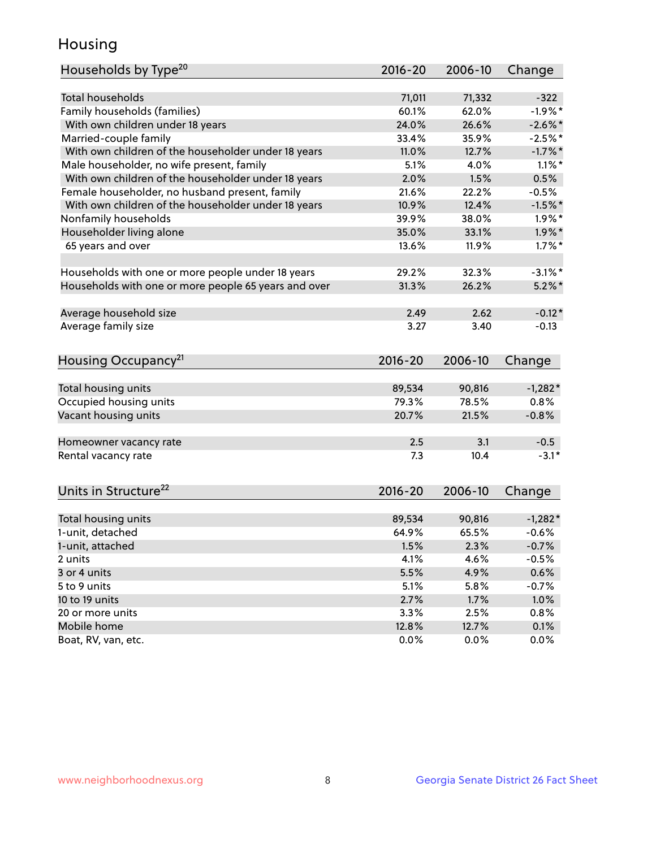## Housing

| Households by Type <sup>20</sup>                     | 2016-20     | 2006-10 | Change     |
|------------------------------------------------------|-------------|---------|------------|
|                                                      |             |         |            |
| <b>Total households</b>                              | 71,011      | 71,332  | $-322$     |
| Family households (families)                         | 60.1%       | 62.0%   | $-1.9%$ *  |
| With own children under 18 years                     | 24.0%       | 26.6%   | $-2.6\%$ * |
| Married-couple family                                | 33.4%       | 35.9%   | $-2.5%$ *  |
| With own children of the householder under 18 years  | 11.0%       | 12.7%   | $-1.7%$ *  |
| Male householder, no wife present, family            | 5.1%        | 4.0%    | $1.1\%$ *  |
| With own children of the householder under 18 years  | 2.0%        | 1.5%    | 0.5%       |
| Female householder, no husband present, family       | 21.6%       | 22.2%   | $-0.5%$    |
| With own children of the householder under 18 years  | 10.9%       | 12.4%   | $-1.5%$ *  |
| Nonfamily households                                 | 39.9%       | 38.0%   | $1.9\%$ *  |
| Householder living alone                             | 35.0%       | 33.1%   | $1.9\%$ *  |
| 65 years and over                                    | 13.6%       | 11.9%   | $1.7\%$ *  |
| Households with one or more people under 18 years    | 29.2%       | 32.3%   | $-3.1\%$ * |
| Households with one or more people 65 years and over | 31.3%       | 26.2%   | $5.2\%$ *  |
|                                                      |             |         |            |
| Average household size                               | 2.49        | 2.62    | $-0.12*$   |
| Average family size                                  | 3.27        | 3.40    | $-0.13$    |
| Housing Occupancy <sup>21</sup>                      | $2016 - 20$ | 2006-10 | Change     |
| Total housing units                                  | 89,534      | 90,816  | $-1,282*$  |
| Occupied housing units                               | 79.3%       | 78.5%   | 0.8%       |
| Vacant housing units                                 | 20.7%       | 21.5%   | $-0.8%$    |
|                                                      |             |         |            |
| Homeowner vacancy rate                               | 2.5         | 3.1     | $-0.5$     |
| Rental vacancy rate                                  | 7.3         | 10.4    | $-3.1*$    |
| Units in Structure <sup>22</sup>                     | 2016-20     | 2006-10 | Change     |
| Total housing units                                  | 89,534      | 90,816  | $-1,282*$  |
| 1-unit, detached                                     | 64.9%       | 65.5%   | $-0.6%$    |
|                                                      | 1.5%        | 2.3%    | $-0.7%$    |
| 1-unit, attached                                     |             | 4.6%    | $-0.5%$    |
| 2 units<br>3 or 4 units                              | 4.1%        |         |            |
|                                                      | 5.5%        | 4.9%    | 0.6%       |
| 5 to 9 units                                         | 5.1%        | 5.8%    | $-0.7%$    |
| 10 to 19 units                                       | 2.7%        | 1.7%    | 1.0%       |
| 20 or more units                                     | 3.3%        | 2.5%    | 0.8%       |
| Mobile home                                          | 12.8%       | 12.7%   | 0.1%       |
| Boat, RV, van, etc.                                  | 0.0%        | 0.0%    | 0.0%       |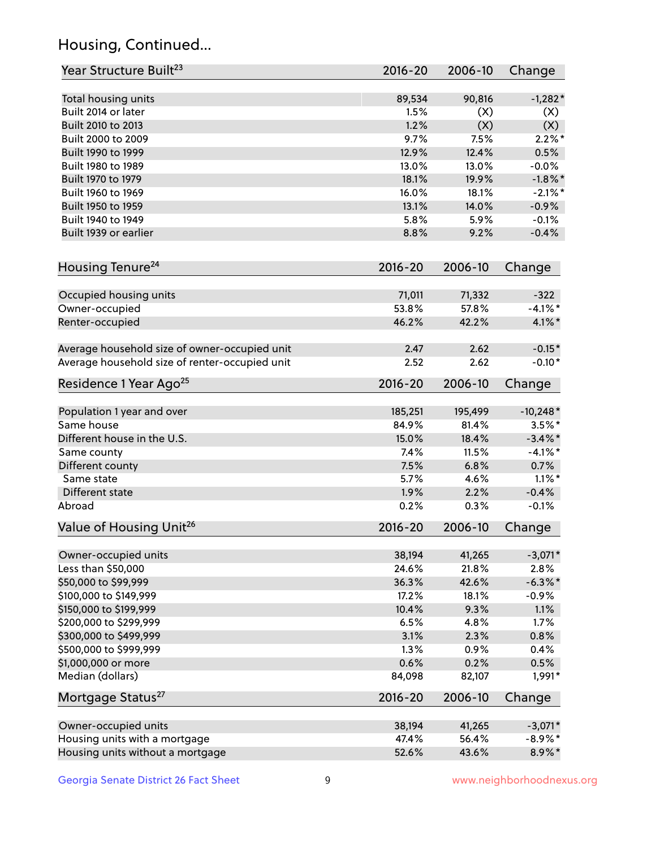## Housing, Continued...

| Year Structure Built <sup>23</sup>             | 2016-20         | 2006-10         | Change               |
|------------------------------------------------|-----------------|-----------------|----------------------|
| Total housing units                            | 89,534          | 90,816          | $-1,282*$            |
| Built 2014 or later                            | 1.5%            | (X)             | (X)                  |
| Built 2010 to 2013                             | 1.2%            | (X)             | (X)                  |
| Built 2000 to 2009                             | 9.7%            | 7.5%            | $2.2\%$ *            |
| Built 1990 to 1999                             | 12.9%           | 12.4%           | 0.5%                 |
| Built 1980 to 1989                             | 13.0%           | 13.0%           | $-0.0%$              |
| Built 1970 to 1979                             | 18.1%           | 19.9%           | $-1.8\%$ *           |
| Built 1960 to 1969                             | 16.0%           | 18.1%           | $-2.1\%$ *           |
| Built 1950 to 1959                             | 13.1%           | 14.0%           | $-0.9%$              |
| Built 1940 to 1949                             | 5.8%            | 5.9%            | $-0.1%$              |
| Built 1939 or earlier                          | 8.8%            | 9.2%            | $-0.4%$              |
| Housing Tenure <sup>24</sup>                   | 2016-20         | 2006-10         | Change               |
|                                                |                 |                 |                      |
| Occupied housing units                         | 71,011<br>53.8% | 71,332<br>57.8% | $-322$<br>$-4.1\%$ * |
| Owner-occupied                                 | 46.2%           | 42.2%           |                      |
| Renter-occupied                                |                 |                 | $4.1\%$ *            |
| Average household size of owner-occupied unit  | 2.47            | 2.62            | $-0.15*$             |
| Average household size of renter-occupied unit | 2.52            | 2.62            | $-0.10*$             |
| Residence 1 Year Ago <sup>25</sup>             | 2016-20         | 2006-10         | Change               |
| Population 1 year and over                     | 185,251         | 195,499         | $-10,248*$           |
| Same house                                     | 84.9%           | 81.4%           | $3.5\%$ *            |
| Different house in the U.S.                    | 15.0%           | 18.4%           | $-3.4\%$ *           |
| Same county                                    | 7.4%            | 11.5%           | $-4.1\%$ *           |
| Different county                               | 7.5%            | 6.8%            | 0.7%                 |
| Same state                                     | 5.7%            | 4.6%            | $1.1\%$ *            |
| Different state                                | 1.9%            | 2.2%            | $-0.4%$              |
| Abroad                                         | 0.2%            | 0.3%            | $-0.1%$              |
| Value of Housing Unit <sup>26</sup>            | $2016 - 20$     | 2006-10         | Change               |
| Owner-occupied units                           | 38,194          | 41,265          | $-3,071*$            |
| Less than \$50,000                             | 24.6%           | 21.8%           | 2.8%                 |
| \$50,000 to \$99,999                           | 36.3%           | 42.6%           | $-6.3\%$ *           |
| \$100,000 to \$149,999                         | 17.2%           | 18.1%           | $-0.9%$              |
| \$150,000 to \$199,999                         | 10.4%           | 9.3%            | 1.1%                 |
| \$200,000 to \$299,999                         | 6.5%            | 4.8%            | 1.7%                 |
| \$300,000 to \$499,999                         | 3.1%            | 2.3%            | 0.8%                 |
| \$500,000 to \$999,999                         | 1.3%            | 0.9%            | 0.4%                 |
| \$1,000,000 or more                            | 0.6%            | 0.2%            | 0.5%                 |
| Median (dollars)                               | 84,098          | 82,107          | 1,991*               |
| Mortgage Status <sup>27</sup>                  | $2016 - 20$     | 2006-10         | Change               |
| Owner-occupied units                           | 38,194          | 41,265          | $-3,071*$            |
| Housing units with a mortgage                  | 47.4%           | 56.4%           | $-8.9\%$ *           |
| Housing units without a mortgage               | 52.6%           | 43.6%           | 8.9%*                |
|                                                |                 |                 |                      |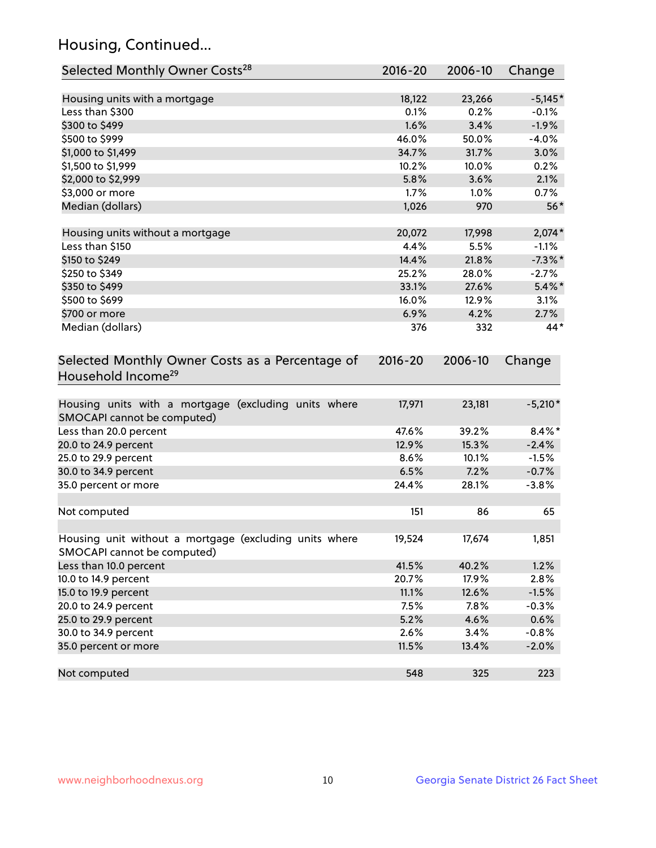## Housing, Continued...

| Selected Monthly Owner Costs <sup>28</sup>                                            | $2016 - 20$ | 2006-10 | Change     |
|---------------------------------------------------------------------------------------|-------------|---------|------------|
| Housing units with a mortgage                                                         | 18,122      | 23,266  | $-5,145*$  |
| Less than \$300                                                                       | 0.1%        | 0.2%    | $-0.1%$    |
| \$300 to \$499                                                                        | 1.6%        | 3.4%    | $-1.9%$    |
| \$500 to \$999                                                                        | 46.0%       | 50.0%   | $-4.0%$    |
| \$1,000 to \$1,499                                                                    | 34.7%       | 31.7%   | 3.0%       |
| \$1,500 to \$1,999                                                                    | 10.2%       | 10.0%   | 0.2%       |
| \$2,000 to \$2,999                                                                    | 5.8%        | 3.6%    | 2.1%       |
| \$3,000 or more                                                                       | 1.7%        | $1.0\%$ | 0.7%       |
| Median (dollars)                                                                      | 1,026       | 970     | $56*$      |
| Housing units without a mortgage                                                      | 20,072      | 17,998  | $2,074*$   |
| Less than \$150                                                                       | 4.4%        | 5.5%    | $-1.1%$    |
| \$150 to \$249                                                                        | 14.4%       | 21.8%   | $-7.3\%$ * |
| \$250 to \$349                                                                        | 25.2%       | 28.0%   | $-2.7%$    |
| \$350 to \$499                                                                        | 33.1%       | 27.6%   | $5.4\%$ *  |
| \$500 to \$699                                                                        | 16.0%       | 12.9%   | 3.1%       |
| \$700 or more                                                                         | 6.9%        | 4.2%    | 2.7%       |
| Median (dollars)                                                                      | 376         | 332     | 44*        |
| Selected Monthly Owner Costs as a Percentage of<br>Household Income <sup>29</sup>     | $2016 - 20$ | 2006-10 | Change     |
| Housing units with a mortgage (excluding units where<br>SMOCAPI cannot be computed)   | 17,971      | 23,181  | $-5,210*$  |
| Less than 20.0 percent                                                                | 47.6%       | 39.2%   | $8.4\%$ *  |
| 20.0 to 24.9 percent                                                                  | 12.9%       | 15.3%   | $-2.4%$    |
| 25.0 to 29.9 percent                                                                  | 8.6%        | 10.1%   | $-1.5%$    |
| 30.0 to 34.9 percent                                                                  | 6.5%        | 7.2%    | $-0.7%$    |
| 35.0 percent or more                                                                  | 24.4%       | 28.1%   | $-3.8%$    |
| Not computed                                                                          | 151         | 86      | 65         |
| Housing unit without a mortgage (excluding units where<br>SMOCAPI cannot be computed) | 19,524      | 17,674  | 1,851      |
| Less than 10.0 percent                                                                | 41.5%       | 40.2%   | 1.2%       |
| 10.0 to 14.9 percent                                                                  | 20.7%       | 17.9%   | 2.8%       |
| 15.0 to 19.9 percent                                                                  | 11.1%       | 12.6%   | $-1.5%$    |
| 20.0 to 24.9 percent                                                                  | 7.5%        | 7.8%    | $-0.3%$    |
| 25.0 to 29.9 percent                                                                  | 5.2%        | 4.6%    | 0.6%       |
| 30.0 to 34.9 percent                                                                  | 2.6%        | 3.4%    | $-0.8%$    |
| 35.0 percent or more                                                                  | 11.5%       | 13.4%   | $-2.0%$    |
| Not computed                                                                          | 548         | 325     | 223        |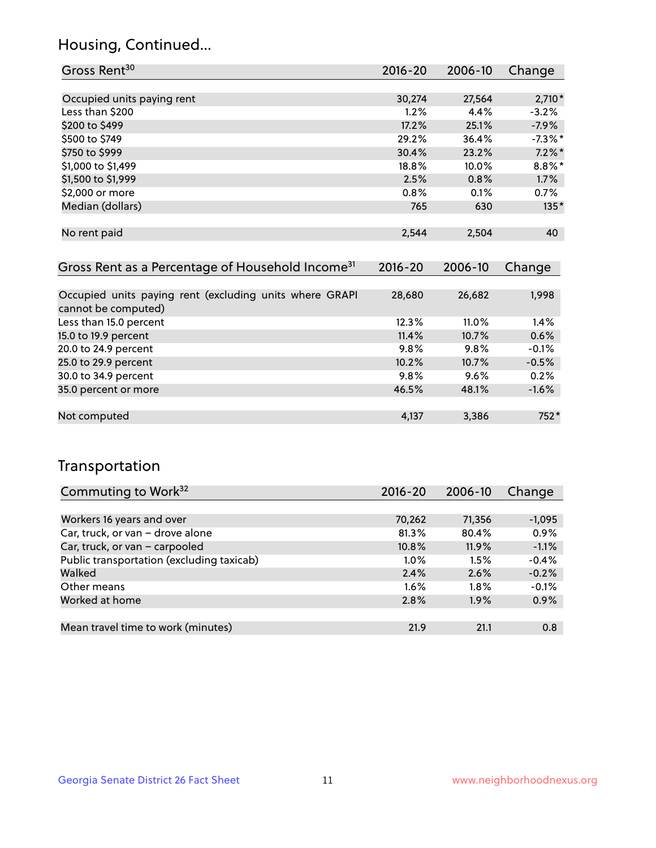## Housing, Continued...

| Gross Rent <sup>30</sup>                                                       | 2016-20     | 2006-10 | Change     |
|--------------------------------------------------------------------------------|-------------|---------|------------|
|                                                                                |             |         |            |
| Occupied units paying rent                                                     | 30,274      | 27,564  | $2,710*$   |
| Less than \$200                                                                | 1.2%        | 4.4%    | $-3.2%$    |
| \$200 to \$499                                                                 | 17.2%       | 25.1%   | $-7.9%$    |
| \$500 to \$749                                                                 | 29.2%       | 36.4%   | $-7.3\%$ * |
| \$750 to \$999                                                                 | 30.4%       | 23.2%   | $7.2\%$ *  |
| \$1,000 to \$1,499                                                             | 18.8%       | 10.0%   | $8.8\%$ *  |
| \$1,500 to \$1,999                                                             | 2.5%        | 0.8%    | 1.7%       |
| \$2,000 or more                                                                | 0.8%        | 0.1%    | $0.7\%$    |
| Median (dollars)                                                               | 765         | 630     | $135*$     |
| No rent paid                                                                   | 2,544       | 2,504   | 40         |
| Gross Rent as a Percentage of Household Income <sup>31</sup>                   | $2016 - 20$ | 2006-10 | Change     |
| Occupied units paying rent (excluding units where GRAPI<br>cannot be computed) | 28,680      | 26,682  | 1,998      |
| Less than 15.0 percent                                                         | 12.3%       | 11.0%   | 1.4%       |
| 15.0 to 19.9 percent                                                           | 11.4%       | 10.7%   | 0.6%       |
| 20.0 to 24.9 percent                                                           | 9.8%        | 9.8%    | $-0.1%$    |
| 25.0 to 29.9 percent                                                           | 10.2%       | 10.7%   | $-0.5%$    |
| 30.0 to 34.9 percent                                                           | 9.8%        | 9.6%    | 0.2%       |
| 35.0 percent or more                                                           | 46.5%       | 48.1%   | $-1.6%$    |

| .            |       |     |
|--------------|-------|-----|
|              |       |     |
|              |       |     |
| Not computed | 3.386 | 75Z |
|              |       |     |
|              |       |     |

## Transportation

| Commuting to Work <sup>32</sup>           | $2016 - 20$ | 2006-10 | Change   |
|-------------------------------------------|-------------|---------|----------|
|                                           |             |         |          |
| Workers 16 years and over                 | 70,262      | 71,356  | $-1,095$ |
| Car, truck, or van - drove alone          | 81.3%       | 80.4%   | 0.9%     |
| Car, truck, or van - carpooled            | 10.8%       | 11.9%   | $-1.1%$  |
| Public transportation (excluding taxicab) | $1.0\%$     | 1.5%    | $-0.4%$  |
| Walked                                    | 2.4%        | 2.6%    | $-0.2%$  |
| Other means                               | $1.6\%$     | $1.8\%$ | $-0.1%$  |
| Worked at home                            | 2.8%        | 1.9%    | 0.9%     |
|                                           |             |         |          |
| Mean travel time to work (minutes)        | 21.9        | 21.1    | 0.8      |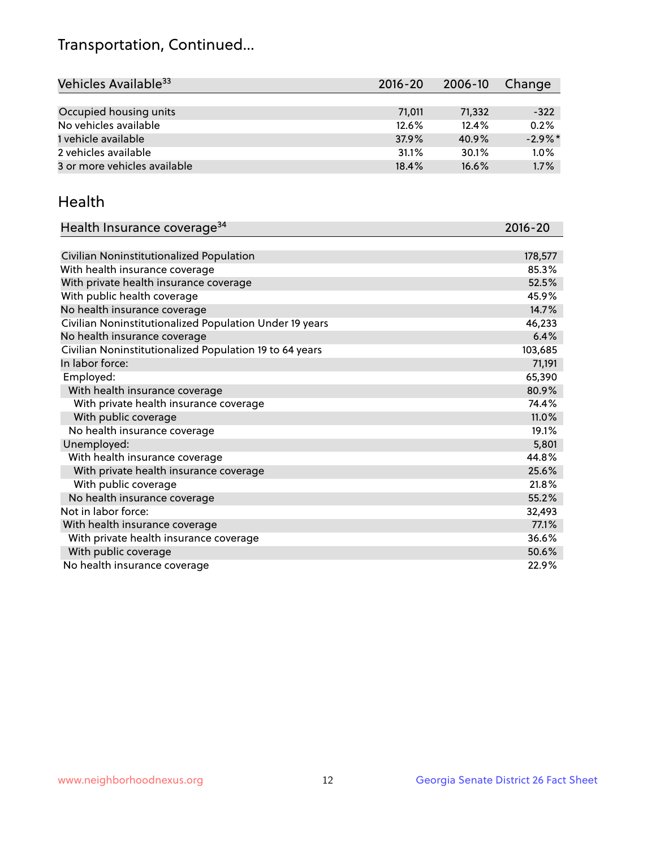## Transportation, Continued...

| Vehicles Available <sup>33</sup> | 2016-20 | 2006-10 | Change     |
|----------------------------------|---------|---------|------------|
|                                  |         |         |            |
| Occupied housing units           | 71.011  | 71,332  | $-322$     |
| No vehicles available            | 12.6%   | 12.4%   | 0.2%       |
| 1 vehicle available              | 37.9%   | 40.9%   | $-2.9\%$ * |
| 2 vehicles available             | 31.1%   | 30.1%   | 1.0%       |
| 3 or more vehicles available     | 18.4%   | 16.6%   | 1.7%       |

#### Health

| Health Insurance coverage <sup>34</sup>                 | 2016-20 |
|---------------------------------------------------------|---------|
|                                                         |         |
| Civilian Noninstitutionalized Population                | 178,577 |
| With health insurance coverage                          | 85.3%   |
| With private health insurance coverage                  | 52.5%   |
| With public health coverage                             | 45.9%   |
| No health insurance coverage                            | 14.7%   |
| Civilian Noninstitutionalized Population Under 19 years | 46,233  |
| No health insurance coverage                            | 6.4%    |
| Civilian Noninstitutionalized Population 19 to 64 years | 103,685 |
| In labor force:                                         | 71,191  |
| Employed:                                               | 65,390  |
| With health insurance coverage                          | 80.9%   |
| With private health insurance coverage                  | 74.4%   |
| With public coverage                                    | 11.0%   |
| No health insurance coverage                            | 19.1%   |
| Unemployed:                                             | 5,801   |
| With health insurance coverage                          | 44.8%   |
| With private health insurance coverage                  | 25.6%   |
| With public coverage                                    | 21.8%   |
| No health insurance coverage                            | 55.2%   |
| Not in labor force:                                     | 32,493  |
| With health insurance coverage                          | 77.1%   |
| With private health insurance coverage                  | 36.6%   |
| With public coverage                                    | 50.6%   |
| No health insurance coverage                            | 22.9%   |